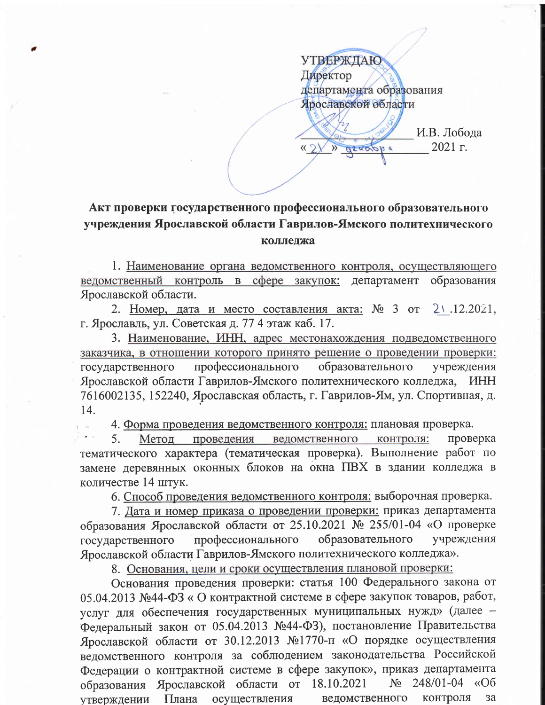**УТВЕРЖДАЮ** Директор департамента образования Ярославской области

altabba

И.В. Лобода 2021 г.

## Акт проверки государственного профессионального образовательного учреждения Ярославской области Гаврилов-Ямского политехнического колледжа

 $\langle \langle \rangle \rangle$ 

1. Наименование органа ведомственного контроля, осуществляющего ведомственный контроль в сфере закупок: департамент образования Ярославской области.

2. Номер, дата и место составления акта: № 3 от  $2 \times .12.2021$ , г. Ярославль, ул. Советская д. 77 4 этаж каб. 17.

3. Наименование, ИНН, адрес местонахождения подведомственного заказчика, в отношении которого принято решение о проведении проверки: государственного профессионального образовательного учреждения Ярославской области Гаврилов-Ямского политехнического колледжа, ИНН 7616002135, 152240, Ярославская область, г. Гаврилов-Ям, ул. Спортивная, д. 14.

4. Форма проведения ведомственного контроля: плановая проверка.

 $5<sub>1</sub>$ проведения ведомственного контроля: Метод проверка тематического характера (тематическая проверка). Выполнение работ по замене деревянных оконных блоков на окна ПВХ в здании колледжа в количестве 14 штук.

6. Способ проведения ведомственного контроля: выборочная проверка.

7. Дата и номер приказа о проведении проверки: приказ департамента образования Ярославской области от 25.10.2021 № 255/01-04 «О проверке образовательного учреждения профессионального государственного Ярославской области Гаврилов-Ямского политехнического колледжа».

8. Основания, цели и сроки осуществления плановой проверки:

Основания проведения проверки: статья 100 Федерального закона от 05.04.2013 №44-ФЗ «О контрактной системе в сфере закупок товаров, работ, услуг для обеспечения государственных муниципальных нужд» (далее -Федеральный закон от 05.04.2013 №44-ФЗ), постановление Правительства Ярославской области от 30.12.2013 №1770-п «О порядке осуществления ведомственного контроля за соблюдением законодательства Российской Федерации о контрактной системе в сфере закупок», приказ департамента образования Ярославской области от 18.10.2021  $N_2$  248/01-04 «Об ведомственного контроля утверждении Плана осуществления за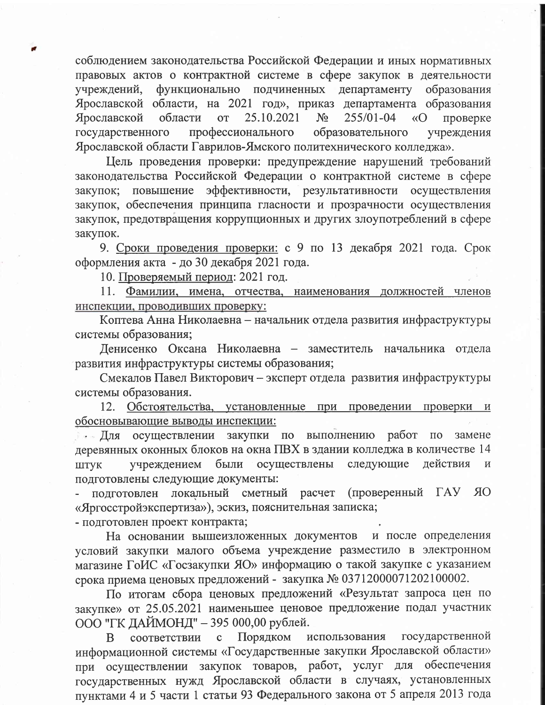соблюдением законодательства Российской Федерации и иных нормативных правовых актов о контрактной системе в сфере закупок в деятельности функционально подчиненных департаменту образования учреждений, Ярославской области, на 2021 год», приказ департамента образования Ярославской области  $OT$ 25.10.2021  $N_2$ 255/01-04 «O проверке государственного профессионального образовательного учреждения Ярославской области Гаврилов-Ямского политехнического колледжа».

Цель проведения проверки: предупреждение нарушений требований законодательства Российской Федерации о контрактной системе в сфере эффективности, результативности осуществления закупок; повышение закупок, обеспечения принципа гласности и прозрачности осуществления закупок, предотвращения коррупционных и других злоупотреблений в сфере закупок.

9. Сроки проведения проверки: с 9 по 13 декабря 2021 года. Срок оформления акта - до 30 декабря 2021 года.

10. Проверяемый период: 2021 год.

11. Фамилии, имена, отчества, наименования должностей членов инспекции, проводивших проверку:

Коптева Анна Николаевна - начальник отдела развития инфраструктуры системы образования;

Денисенко Оксана Николаевна - заместитель начальника отдела развития инфраструктуры системы образования;

Смекалов Павел Викторович - эксперт отдела развития инфраструктуры системы образования.

12. Обстоятельства, установленные при проведении проверки и обосновывающие выводы инспекции:

**А для осуществлении закупки по выполнению работ**  $\Pi$ O замене деревянных оконных блоков на окна ПВХ в здании колледжа в количестве 14 ШТУК учреждением были осуществлены следующие действия  $\,$  M подготовлены следующие документы:

(проверенный ГАУ ЯО подготовлен локальный сметный расчет «Яргосстройэкспертиза»), эскиз, пояснительная записка;

- подготовлен проект контракта;

На основании вышеизложенных документов и после определения условий закупки малого объема учреждение разместило в электронном магазине ГоИС «Госзакупки ЯО» информацию о такой закупке с указанием срока приема ценовых предложений - закупка № 03712000071202100002.

По итогам сбора ценовых предложений «Результат запроса цен по закупке» от 25.05.2021 наименьшее ценовое предложение подал участник ООО "ГК ДАЙМОНД" - 395 000,00 рублей.

соответствии с Порядком использования государственной B. информационной системы «Государственные закупки Ярославской области» при осуществлении закупок товаров, работ, услуг для обеспечения государственных нужд Ярославской области в случаях, установленных пунктами 4 и 5 части 1 статьи 93 Федерального закона от 5 апреля 2013 года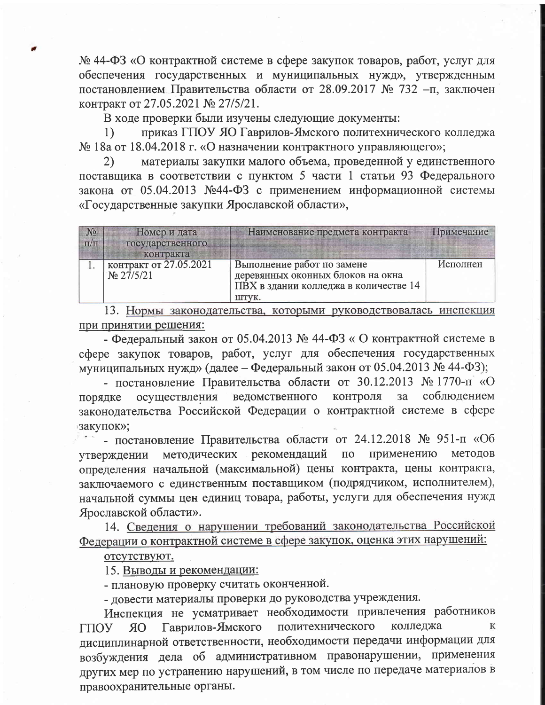№ 44-ФЗ «О контрактной системе в сфере закупок товаров, работ, услуг для обеспечения государственных и муниципальных нужд», утвержденным постановлением Правительства области от 28.09.2017 № 732 -п, заключен контракт от 27.05.2021 № 27/5/21.

В ходе проверки были изучены следующие документы:

приказ ГПОУ ЯО Гаврилов-Ямского политехнического колледжа  $1)$ № 18а от 18.04.2018 г. «О назначении контрактного управляющего»;

материалы закупки малого объема, проведенной у единственного 2) поставщика в соответствии с пунктом 5 части 1 статьи 93 Федерального закона от 05.04.2013 №44-ФЗ с применением информационной системы «Государственные закупки Ярославской области»,

| N <sub>2</sub><br>$\pi/\pi$ | Номер и дата<br>государственного        | Наименование предмета контракта                                                                                   | Примечание |
|-----------------------------|-----------------------------------------|-------------------------------------------------------------------------------------------------------------------|------------|
|                             | контракта                               |                                                                                                                   |            |
|                             | контракт от 27.05.2021<br>$N_2$ 27/5/21 | Выполнение работ по замене<br>деревянных оконных блоков на окна<br>ПВХ в здании колледжа в количестве 14<br>штук. | Исполнен   |

13. Нормы законодательства, которыми руководствовалась инспекция при принятии решения:

- Федеральный закон от 05.04.2013 № 44-ФЗ «О контрактной системе в сфере закупок товаров, работ, услуг для обеспечения государственных муниципальных нужд» (далее - Федеральный закон от 05.04.2013 № 44-ФЗ);

- постановление Правительства области от 30.12.2013 № 1770-п «О осуществления ведомственного контроля за соблюдением порядке законодательства Российской Федерации о контрактной системе в сфере закупок»;

- постановление Правительства области от 24.12.2018 № 951-п «Об методов утверждении методических рекомендаций  $\Pi$ <sup>O</sup> применению определения начальной (максимальной) цены контракта, цены контракта, заключаемого с единственным поставщиком (подрядчиком, исполнителем), начальной суммы цен единиц товара, работы, услуги для обеспечения нужд Ярославской области».

14. Сведения о нарушении требований законодательства Российской Федерации о контрактной системе в сфере закупок, оценка этих нарушений:

отсутствуют.

15. Выводы и рекомендации:

- плановую проверку считать оконченной.

- довести материалы проверки до руководства учреждения.

Инспекция не усматривает необходимости привлечения работников Гаврилов-Ямского политехнического колледжа К **ГПОУ OR** дисциплинарной ответственности, необходимости передачи информации для возбуждения дела об административном правонарушении, применения других мер по устранению нарушений, в том числе по передаче материалов в правоохранительные органы.